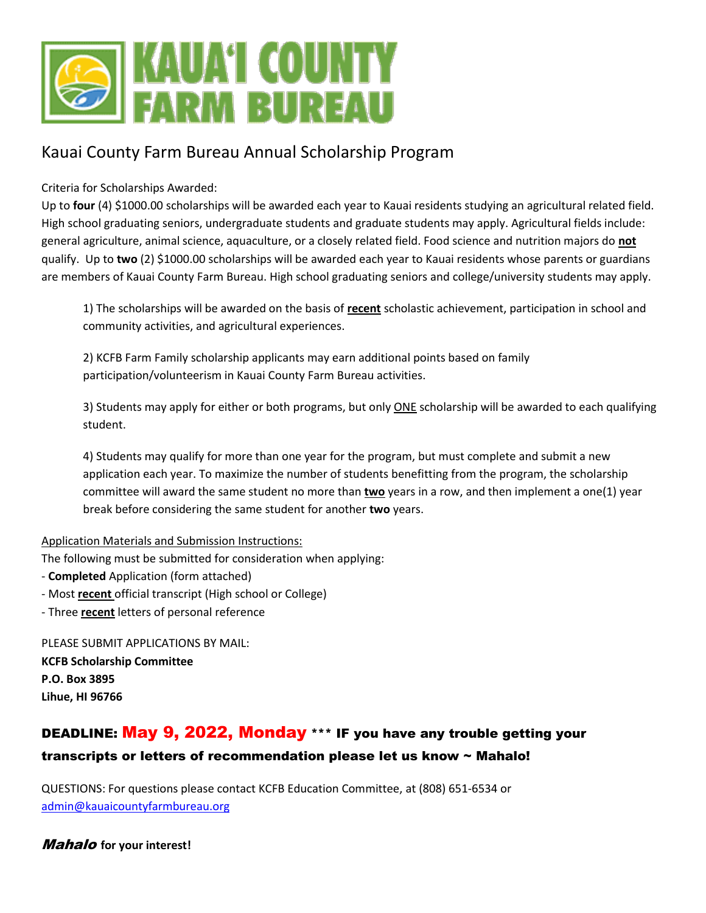

### Kauai County Farm Bureau Annual Scholarship Program

Criteria for Scholarships Awarded:

Up to **four** (4) \$1000.00 scholarships will be awarded each year to Kauai residents studying an agricultural related field. High school graduating seniors, undergraduate students and graduate students may apply. Agricultural fields include: general agriculture, animal science, aquaculture, or a closely related field. Food science and nutrition majors do **not** qualify. Up to **two** (2) \$1000.00 scholarships will be awarded each year to Kauai residents whose parents or guardians are members of Kauai County Farm Bureau. High school graduating seniors and college/university students may apply.

1) The scholarships will be awarded on the basis of **recent** scholastic achievement, participation in school and community activities, and agricultural experiences.

2) KCFB Farm Family scholarship applicants may earn additional points based on family participation/volunteerism in Kauai County Farm Bureau activities.

3) Students may apply for either or both programs, but only ONE scholarship will be awarded to each qualifying student.

4) Students may qualify for more than one year for the program, but must complete and submit a new application each year. To maximize the number of students benefitting from the program, the scholarship committee will award the same student no more than **two** years in a row, and then implement a one(1) year break before considering the same student for another **two** years.

#### Application Materials and Submission Instructions:

The following must be submitted for consideration when applying:

- **Completed** Application (form attached)
- Most **recent** official transcript (High school or College)
- Three **recent** letters of personal reference

PLEASE SUBMIT APPLICATIONS BY MAIL: **KCFB Scholarship Committee P.O. Box 3895 Lihue, HI 96766**

### DEADLINE: May 9, 2022, Monday \*\*\* IF you have any trouble getting your transcripts or letters of recommendation please let us know ~ Mahalo!

QUESTIONS: For questions please contact KCFB Education Committee, at (808) 651-6534 or [admin@kauaicountyfarmbureau.org](mailto:admin@kauaicountyfarmbureau.org)

Mahalo **for your interest!**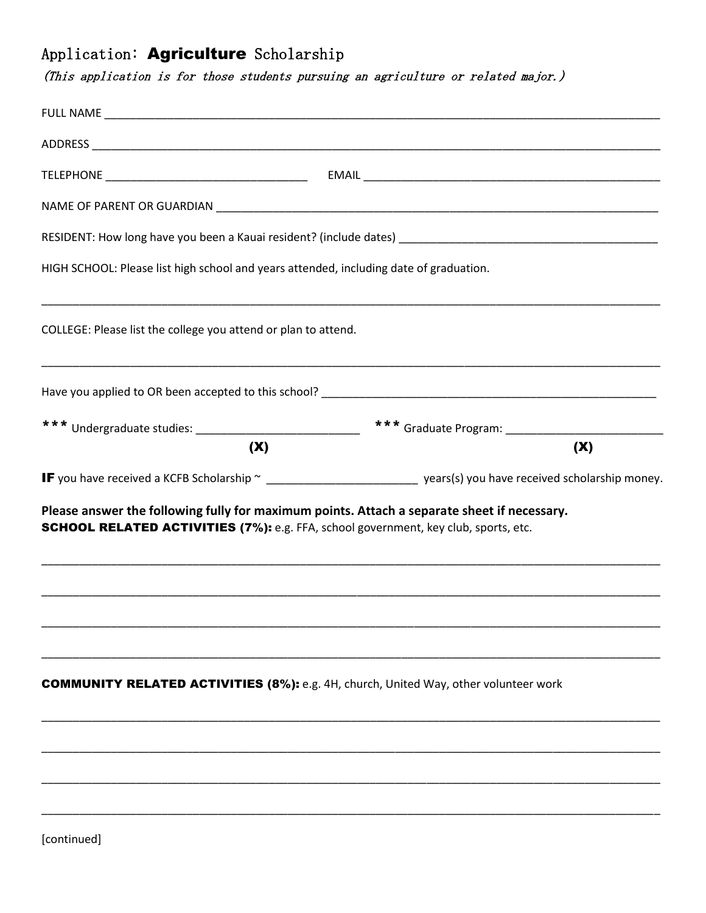## Application: Agriculture Scholarship

(This application is for those students pursuing an agriculture or related major.)

| HIGH SCHOOL: Please list high school and years attended, including date of graduation.                                                                                             |                                                                                                                         |
|------------------------------------------------------------------------------------------------------------------------------------------------------------------------------------|-------------------------------------------------------------------------------------------------------------------------|
| COLLEGE: Please list the college you attend or plan to attend.                                                                                                                     |                                                                                                                         |
|                                                                                                                                                                                    |                                                                                                                         |
|                                                                                                                                                                                    |                                                                                                                         |
| (X)                                                                                                                                                                                | (X)                                                                                                                     |
|                                                                                                                                                                                    | IF you have received a KCFB Scholarship ~ _______________________________ years(s) you have received scholarship money. |
| Please answer the following fully for maximum points. Attach a separate sheet if necessary.<br>SCHOOL RELATED ACTIVITIES (7%): e.g. FFA, school government, key club, sports, etc. |                                                                                                                         |
|                                                                                                                                                                                    |                                                                                                                         |
| <b>COMMUNITY RELATED ACTIVITIES (8%):</b> e.g. 4H, church, United Way, other volunteer work                                                                                        |                                                                                                                         |
|                                                                                                                                                                                    |                                                                                                                         |
|                                                                                                                                                                                    |                                                                                                                         |
|                                                                                                                                                                                    |                                                                                                                         |
|                                                                                                                                                                                    |                                                                                                                         |

[continued]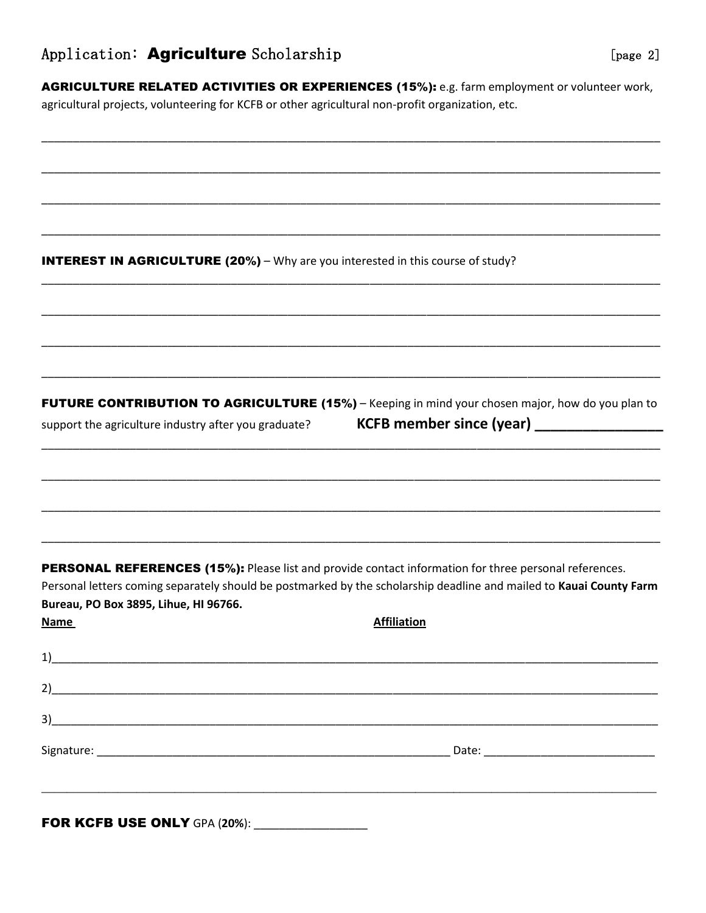### Application: Agriculture Scholarship

AGRICULTURE RELATED ACTIVITIES OR EXPERIENCES (15%): e.g. farm employment or volunteer work, agricultural projects, volunteering for KCFB or other agricultural non-profit organization, etc.

**INTEREST IN AGRICULTURE (20%)** – Why are you interested in this course of study?

**FUTURE CONTRIBUTION TO AGRICULTURE (15%)** – Keeping in mind your chosen major, how do you plan to

support the agriculture industry after you graduate?

KCFB member since (year) \_\_\_\_\_\_\_\_\_\_

**PERSONAL REFERENCES (15%):** Please list and provide contact information for three personal references. Personal letters coming separately should be postmarked by the scholarship deadline and mailed to Kauai County Farm Bureau, PO Box 3895, Lihue, HI 96766. **Name Affiliation** 

| $2)$ and $2)$ and $2)$ and $2)$ and $2)$ and $2)$ and $2)$ and $2)$ and $2)$ and $2)$ and $2)$ and $2)$ and $2)$ and $2)$ and $2)$ and $2)$ and $2)$ and $2)$ and $2)$ and $2)$ and $2)$ and $2)$ and $2)$ and $2)$ and $2)$                                                                                                                                                 |  |
|------------------------------------------------------------------------------------------------------------------------------------------------------------------------------------------------------------------------------------------------------------------------------------------------------------------------------------------------------------------------------|--|
| $3)$ and $\overline{\phantom{a}1}$ and $\overline{\phantom{a}1}$ and $\overline{\phantom{a}1}$ and $\overline{\phantom{a}1}$ and $\overline{\phantom{a}1}$ and $\overline{\phantom{a}1}$ and $\overline{\phantom{a}1}$ and $\overline{\phantom{a}1}$ and $\overline{\phantom{a}1}$ and $\overline{\phantom{a}1}$ and $\overline{\phantom{a}1}$ and $\overline{\phantom{a}1}$ |  |
|                                                                                                                                                                                                                                                                                                                                                                              |  |
|                                                                                                                                                                                                                                                                                                                                                                              |  |
|                                                                                                                                                                                                                                                                                                                                                                              |  |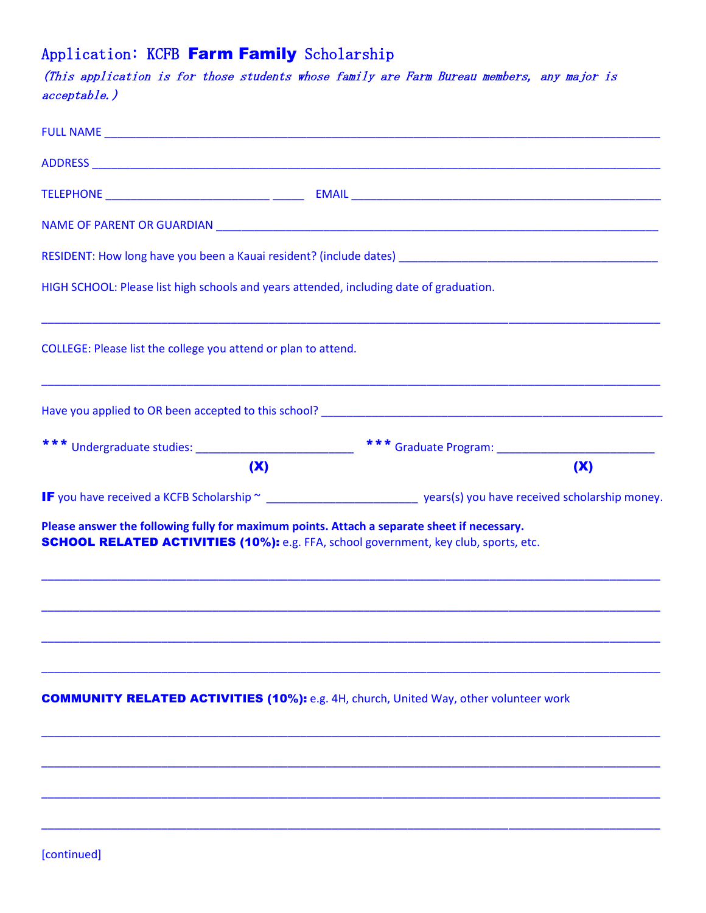# Application: KCFB Farm Family Scholarship

(This application is for those students whose family are Farm Bureau members, any major is acceptable.)

| HIGH SCHOOL: Please list high schools and years attended, including date of graduation.                                                                                                    |                                                                                                                        |
|--------------------------------------------------------------------------------------------------------------------------------------------------------------------------------------------|------------------------------------------------------------------------------------------------------------------------|
| COLLEGE: Please list the college you attend or plan to attend.                                                                                                                             |                                                                                                                        |
|                                                                                                                                                                                            |                                                                                                                        |
|                                                                                                                                                                                            |                                                                                                                        |
| (X)                                                                                                                                                                                        | (X)                                                                                                                    |
|                                                                                                                                                                                            |                                                                                                                        |
|                                                                                                                                                                                            | IF you have received a KCFB Scholarship ~ ______________________________ years(s) you have received scholarship money. |
| Please answer the following fully for maximum points. Attach a separate sheet if necessary.<br><b>SCHOOL RELATED ACTIVITIES (10%):</b> e.g. FFA, school government, key club, sports, etc. |                                                                                                                        |
|                                                                                                                                                                                            |                                                                                                                        |
| <b>COMMUNITY RELATED ACTIVITIES (10%):</b> e.g. 4H, church, United Way, other volunteer work                                                                                               |                                                                                                                        |
|                                                                                                                                                                                            |                                                                                                                        |
|                                                                                                                                                                                            |                                                                                                                        |
|                                                                                                                                                                                            |                                                                                                                        |

[continued]